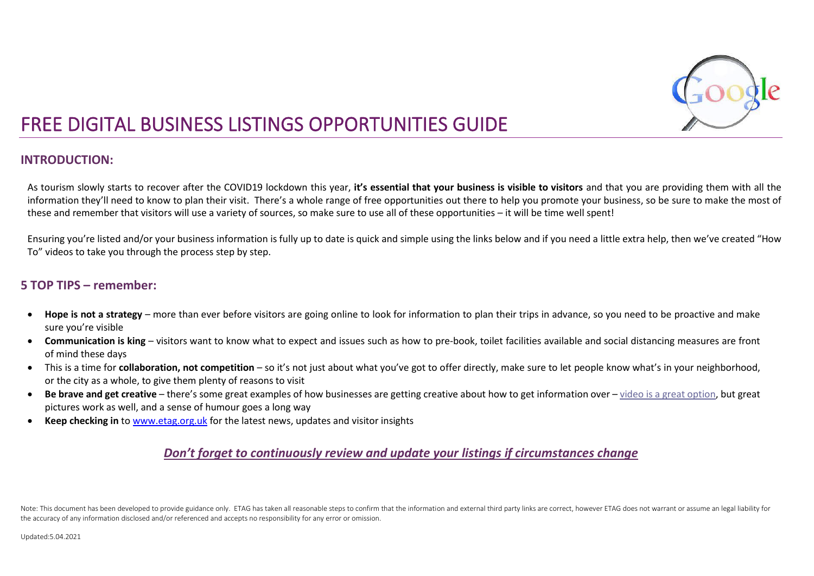

### **INTRODUCTION:**

As tourism slowly starts to recover after the COVID19 lockdown this year, **it's essential that your business is visible to visitors** and that you are providing them with all the information they'll need to know to plan their visit. There's a whole range of free opportunities out there to help you promote your business, so be sure to make the most of these and remember that visitors will use a variety of sources, so make sure to use all of these opportunities – it will be time well spent!

Ensuring you're listed and/or your business information is fully up to date is quick and simple using the links below and if you need a little extra help, then we've created "How To" videos to take you through the process step by step.

#### **5 TOP TIPS – remember:**

- **Hope is not a strategy** more than ever before visitors are going online to look for information to plan their trips in advance, so you need to be proactive and make sure you're visible
- **Communication is king** visitors want to know what to expect and issues such as how to pre-book, toilet facilities available and social distancing measures are front of mind these days
- This is a time for **collaboration, not competition** so it's not just about what you've got to offer directly, make sure to let people know what's in your neighborhood, or the city as a whole, to give them plenty of reasons to visit
- **Be brave and get creative** there's some great examples of how businesses are getting creative about how to get information over [video is a great option,](https://eur03.safelinks.protection.outlook.com/?url=https%3A%2F%2Fwww.youtube.com%2Fwatch%3Fv%3Dgfy9OBnmNTo&data=04%7C01%7CMargaret.McNeil%40scotent.co.uk%7C5e6ac84693a844a03fd508d8f8e49d5e%7C50374495fdde4d04bc5c574982680e19%7C0%7C0%7C637533008064752047%7CUnknown%7CTWFpbGZsb3d8eyJWIjoiMC4wLjAwMDAiLCJQIjoiV2luMzIiLCJBTiI6Ik1haWwiLCJXVCI6Mn0%3D%7C1000&sdata=SjS1ZHRY3heAiaAlYRFIh8nXPMH16kAjzbPpKQV7sOU%3D&reserved=0) but great pictures work as well, and a sense of humour goes a long way
- **Keep checking in** to [www.etag.org.uk](http://www.etag.org.uk/) for the latest news, updates and visitor insights

### *Don't forget to continuously review and update your listings if circumstances change*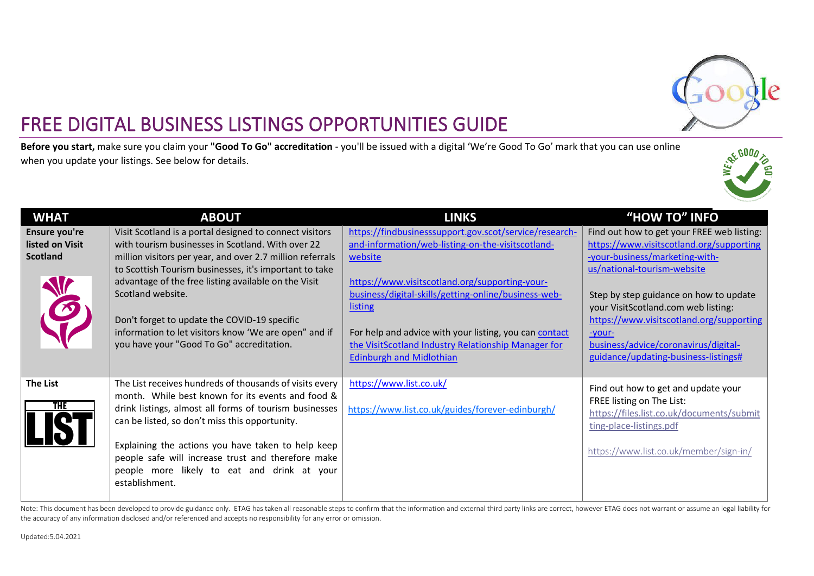

**Before you start,** make sure you claim your **"Good To Go" accreditation** - you'll be issued with a digital 'We're Good To Go' mark that you can use online when you update your listings. See below for details.



| <b>WHAT</b>                                              | <b>ABOUT</b>                                                                                                                                                                                                                                                                                                                                                                                                                                                           | <b>LINKS</b>                                                                                                                                                                                                                                                                                                                                                                                            | "HOW TO" INFO                                                                                                                                                                                                                                                                                                                                                                  |
|----------------------------------------------------------|------------------------------------------------------------------------------------------------------------------------------------------------------------------------------------------------------------------------------------------------------------------------------------------------------------------------------------------------------------------------------------------------------------------------------------------------------------------------|---------------------------------------------------------------------------------------------------------------------------------------------------------------------------------------------------------------------------------------------------------------------------------------------------------------------------------------------------------------------------------------------------------|--------------------------------------------------------------------------------------------------------------------------------------------------------------------------------------------------------------------------------------------------------------------------------------------------------------------------------------------------------------------------------|
| Ensure you're<br>listed on Visit<br><b>Scotland</b><br>E | Visit Scotland is a portal designed to connect visitors<br>with tourism businesses in Scotland. With over 22<br>million visitors per year, and over 2.7 million referrals<br>to Scottish Tourism businesses, it's important to take<br>advantage of the free listing available on the Visit<br>Scotland website.<br>Don't forget to update the COVID-19 specific<br>information to let visitors know 'We are open" and if<br>you have your "Good To Go" accreditation. | https://findbusinesssupport.gov.scot/service/research-<br>and-information/web-listing-on-the-visits cotland-<br>website<br>https://www.visitscotland.org/supporting-your-<br>business/digital-skills/getting-online/business-web-<br><u>listing</u><br>For help and advice with your listing, you can contact<br>the VisitScotland Industry Relationship Manager for<br><b>Edinburgh and Midlothian</b> | Find out how to get your FREE web listing:<br>https://www.visitscotland.org/supporting<br>-your-business/marketing-with-<br>us/national-tourism-website<br>Step by step guidance on how to update<br>your VisitScotland.com web listing:<br>https://www.visitscotland.org/supporting<br>-your-<br>business/advice/coronavirus/digital-<br>guidance/updating-business-listings# |
| <b>The List</b><br><b>THE</b>                            | The List receives hundreds of thousands of visits every<br>month. While best known for its events and food &<br>drink listings, almost all forms of tourism businesses<br>can be listed, so don't miss this opportunity.<br>Explaining the actions you have taken to help keep<br>people safe will increase trust and therefore make<br>people more likely to eat and drink at your<br>establishment.                                                                  | https://www.list.co.uk/<br>https://www.list.co.uk/guides/forever-edinburgh/                                                                                                                                                                                                                                                                                                                             | Find out how to get and update your<br>FREE listing on The List:<br>https://files.list.co.uk/documents/submit<br>ting-place-listings.pdf<br>https://www.list.co.uk/member/sign-in/                                                                                                                                                                                             |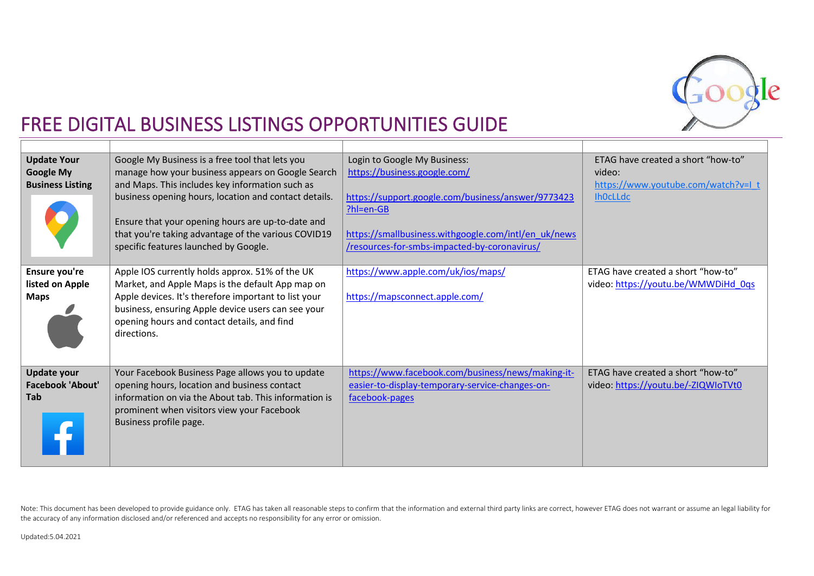

| <b>Update Your</b><br><b>Google My</b><br><b>Business Listing</b> | Google My Business is a free tool that lets you<br>manage how your business appears on Google Search<br>and Maps. This includes key information such as<br>business opening hours, location and contact details.<br>Ensure that your opening hours are up-to-date and<br>that you're taking advantage of the various COVID19<br>specific features launched by Google. | Login to Google My Business:<br>https://business.google.com/<br>https://support.google.com/business/answer/9773423<br>?hl=en-GB<br>https://smallbusiness.withgoogle.com/intl/en_uk/news<br>/resources-for-smbs-impacted-by-coronavirus/ | ETAG have created a short "how-to"<br>video:<br>https://www.youtube.com/watch?v=I_t<br><b>IhOcLLdc</b> |
|-------------------------------------------------------------------|-----------------------------------------------------------------------------------------------------------------------------------------------------------------------------------------------------------------------------------------------------------------------------------------------------------------------------------------------------------------------|-----------------------------------------------------------------------------------------------------------------------------------------------------------------------------------------------------------------------------------------|--------------------------------------------------------------------------------------------------------|
| Ensure you're<br>listed on Apple<br><b>Maps</b>                   | Apple IOS currently holds approx. 51% of the UK<br>Market, and Apple Maps is the default App map on<br>Apple devices. It's therefore important to list your<br>business, ensuring Apple device users can see your<br>opening hours and contact details, and find<br>directions.                                                                                       | https://www.apple.com/uk/ios/maps/<br>https://mapsconnect.apple.com/                                                                                                                                                                    | ETAG have created a short "how-to"<br>video: https://youtu.be/WMWDiHd 0qs                              |
| <b>Update your</b><br><b>Facebook 'About'</b><br><b>Tab</b>       | Your Facebook Business Page allows you to update<br>opening hours, location and business contact<br>information on via the About tab. This information is<br>prominent when visitors view your Facebook<br>Business profile page.                                                                                                                                     | https://www.facebook.com/business/news/making-it-<br>easier-to-display-temporary-service-changes-on-<br>facebook-pages                                                                                                                  | ETAG have created a short "how-to"<br>video: https://youtu.be/-ZIQWIoTVt0                              |